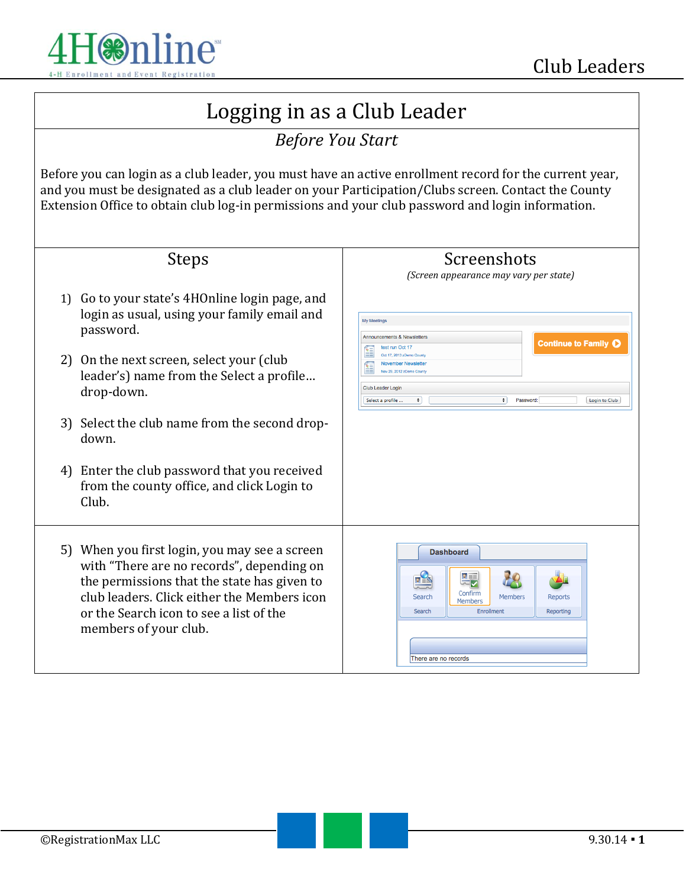

## Logging in as a Club Leader

## *Before You Start*

Before you can login as a club leader, you must have an active enrollment record for the current year, and you must be designated as a club leader on your Participation/Clubs screen. Contact the County Extension Office to obtain club log-in permissions and your club password and login information.

| <b>Steps</b>                                                                                                                                                                                                                                                                                                                                                                         | Screenshots<br>(Screen appearance may vary per state)                                                                                                                                                                                                                  |
|--------------------------------------------------------------------------------------------------------------------------------------------------------------------------------------------------------------------------------------------------------------------------------------------------------------------------------------------------------------------------------------|------------------------------------------------------------------------------------------------------------------------------------------------------------------------------------------------------------------------------------------------------------------------|
| Go to your state's 4HOnline login page, and<br>1)<br>login as usual, using your family email and<br>password.<br>2) On the next screen, select your (club<br>leader's) name from the Select a profile<br>drop-down.<br>3) Select the club name from the second drop-<br>down.<br>4) Enter the club password that you received<br>from the county office, and click Login to<br>Club. | <b>My Meetings</b><br>Announcements & Newsletters<br><b>Continue to Family O</b><br>test run Oct 17<br>Oct 17, 2013 zDemo Count<br>Nov 28, 2012 zDemo Cour<br>Club Leader Login<br>$\bullet$<br>Select a profile<br>$\ddot{\phantom{1}}$<br>Password:<br>Login to Club |
| 5) When you first login, you may see a screen<br>with "There are no records", depending on<br>the permissions that the state has given to<br>club leaders. Click either the Members icon<br>or the Search icon to see a list of the<br>members of your club.                                                                                                                         | <b>Dashboard</b><br>大王<br>Confirm<br>Members<br>Search<br>Reports<br>Members<br>Enrollment<br>Search<br>Reporting<br>There are no records                                                                                                                              |